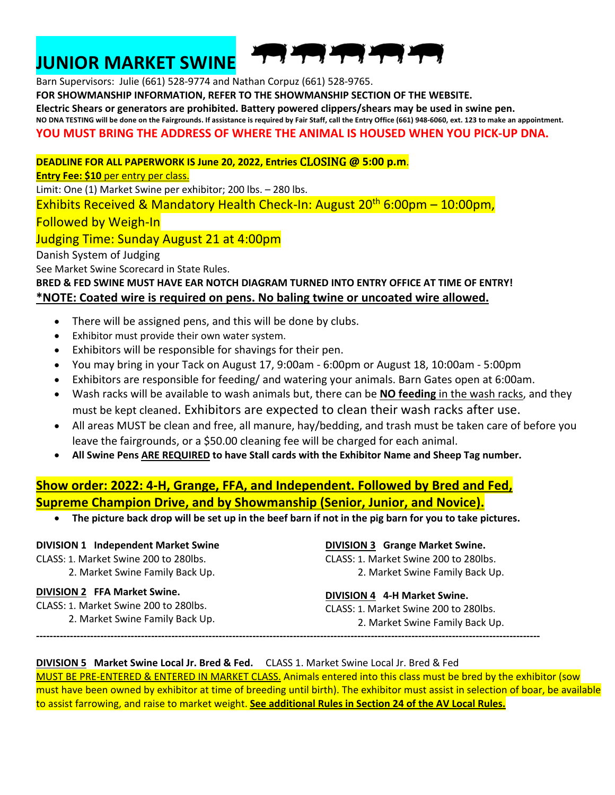### **JUNIOR MARKET SWINE**



Barn Supervisors: Julie (661) 528-9774 and Nathan Corpuz (661) 528-9765. **FOR SHOWMANSHIP INFORMATION, REFER TO THE SHOWMANSHIP SECTION OF THE WEBSITE. Electric Shears or generators are prohibited. Battery powered clippers/shears may be used in swine pen. NO DNA TESTING will be done on the Fairgrounds. If assistance is required by Fair Staff, call the Entry Office (661) 948-6060, ext. 123 to make an appointment. YOU MUST BRING THE ADDRESS OF WHERE THE ANIMAL IS HOUSED WHEN YOU PICK-UP DNA.**

**DEADLINE FOR ALL PAPERWORK IS June 20, 2022, Entries** CLOSING @ **5:00 p.m**.

**Entry Fee: \$10** per entry per class.

Limit: One (1) Market Swine per exhibitor; 200 lbs. – 280 lbs.

Exhibits Received & Mandatory Health Check-In: August  $20<sup>th</sup> 6:00pm - 10:00pm$ ,

Followed by Weigh-In

#### Judging Time: Sunday August 21 at 4:00pm

Danish System of Judging

See Market Swine Scorecard in State Rules.

#### **BRED & FED SWINE MUST HAVE EAR NOTCH DIAGRAM TURNED INTO ENTRY OFFICE AT TIME OF ENTRY! \*NOTE: Coated wire is required on pens. No baling twine or uncoated wire allowed.**

- There will be assigned pens, and this will be done by clubs.
- Exhibitor must provide their own water system.
- Exhibitors will be responsible for shavings for their pen.
- You may bring in your Tack on August 17, 9:00am 6:00pm or August 18, 10:00am 5:00pm
- Exhibitors are responsible for feeding/ and watering your animals. Barn Gates open at 6:00am.
- Wash racks will be available to wash animals but, there can be **NO feeding** in the wash racks, and they must be kept cleaned. Exhibitors are expected to clean their wash racks after use.
- All areas MUST be clean and free, all manure, hay/bedding, and trash must be taken care of before you leave the fairgrounds, or a \$50.00 cleaning fee will be charged for each animal.
- **All Swine Pens ARE REQUIRED to have Stall cards with the Exhibitor Name and Sheep Tag number.**

#### **Show order: 2022: 4-H, Grange, FFA, and Independent. Followed by Bred and Fed, Supreme Champion Drive, and by Showmanship (Senior, Junior, and Novice).**

• **The picture back drop will be set up in the beef barn if not in the pig barn for you to take pictures.**

#### **DIVISION 1 Independent Market Swine** CLASS: 1. Market Swine 200 to 280lbs.

**DIVISION 2 FFA Market Swine.** CLASS: 1. Market Swine 200 to 280lbs.

2. Market Swine Family Back Up.

2. Market Swine Family Back Up.

#### **DIVISION 3 Grange Market Swine.**

CLASS: 1. Market Swine 200 to 280lbs. 2. Market Swine Family Back Up.

#### **DIVISION 4 4-H Market Swine.**

CLASS: 1. Market Swine 200 to 280lbs. 2. Market Swine Family Back Up.

**-----------------------------------------------------------------------------------------------------------------------------------------------------** 

#### **DIVISION 5 Market Swine Local Jr. Bred & Fed.** CLASS 1. Market Swine Local Jr. Bred & Fed

MUST BE PRE-ENTERED & ENTERED IN MARKET CLASS. Animals entered into this class must be bred by the exhibitor (sow must have been owned by exhibitor at time of breeding until birth). The exhibitor must assist in selection of boar, be available to assist farrowing, and raise to market weight. **See additional Rules in Section 24 of the AV Local Rules.**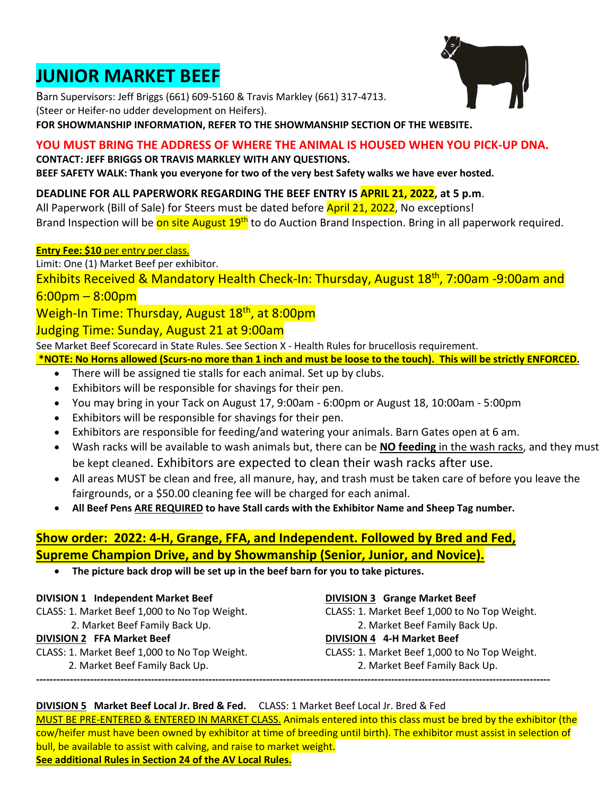### **JUNIOR MARKET BEEF**

Barn Supervisors: Jeff Briggs (661) 609-5160 & Travis Markley (661) 317-4713. (Steer or Heifer-no udder development on Heifers).

**FOR SHOWMANSHIP INFORMATION, REFER TO THE SHOWMANSHIP SECTION OF THE WEBSITE.**

#### **YOU MUST BRING THE ADDRESS OF WHERE THE ANIMAL IS HOUSED WHEN YOU PICK-UP DNA.**

**CONTACT: JEFF BRIGGS OR TRAVIS MARKLEY WITH ANY QUESTIONS. BEEF SAFETY WALK: Thank you everyone for two of the very best Safety walks we have ever hosted.**

#### **DEADLINE FOR ALL PAPERWORK REGARDING THE BEEF ENTRY IS APRIL 21, 2022, at 5 p.m**.

All Paperwork (Bill of Sale) for Steers must be dated before **April 21, 2022**, No exceptions! Brand Inspection will be on site August 19<sup>th</sup> to do Auction Brand Inspection. Bring in all paperwork required.

#### **Entry Fee: \$10** per entry per class.

Limit: One (1) Market Beef per exhibitor.

Exhibits Received & Mandatory Health Check-In: Thursday, August 18<sup>th</sup>, 7:00am -9:00am and 6:00pm – 8:00pm

#### Weigh-In Time: Thursday, August 18<sup>th</sup>, at 8:00pm

#### Judging Time: Sunday, August 21 at 9:00am

See Market Beef Scorecard in State Rules. See Section X - Health Rules for brucellosis requirement.

**\*NOTE: No Horns allowed (Scurs-no more than 1 inch and must be loose to the touch). This will be strictly ENFORCED.**

- There will be assigned tie stalls for each animal. Set up by clubs.
- Exhibitors will be responsible for shavings for their pen.
- You may bring in your Tack on August 17, 9:00am 6:00pm or August 18, 10:00am 5:00pm
- Exhibitors will be responsible for shavings for their pen.
- Exhibitors are responsible for feeding/and watering your animals. Barn Gates open at 6 am.
- Wash racks will be available to wash animals but, there can be **NO feeding** in the wash racks, and they must be kept cleaned. Exhibitors are expected to clean their wash racks after use.
- All areas MUST be clean and free, all manure, hay, and trash must be taken care of before you leave the fairgrounds, or a \$50.00 cleaning fee will be charged for each animal.
- **All Beef Pens ARE REQUIRED to have Stall cards with the Exhibitor Name and Sheep Tag number.**

#### **Show order: 2022: 4-H, Grange, FFA, and Independent. Followed by Bred and Fed, Supreme Champion Drive, and by Showmanship (Senior, Junior, and Novice).**

• **The picture back drop will be set up in the beef barn for you to take pictures.**

#### **DIVISION 1 Independent Market Beef**

- CLASS: 1. Market Beef 1,000 to No Top Weight.
- 2. Market Beef Family Back Up.

#### **DIVISION 2 FFA Market Beef**

- CLASS: 1. Market Beef 1,000 to No Top Weight.
	- 2. Market Beef Family Back Up.

#### **DIVISION 3 Grange Market Beef**

CLASS: 1. Market Beef 1,000 to No Top Weight. 2. Market Beef Family Back Up. **DIVISION 4 4-H Market Beef** CLASS: 1. Market Beef 1,000 to No Top Weight. 2. Market Beef Family Back Up.

#### **DIVISION 5 Market Beef Local Jr. Bred & Fed.** CLASS: 1 Market Beef Local Jr. Bred & Fed

MUST BE PRE-ENTERED & ENTERED IN MARKET CLASS. Animals entered into this class must be bred by the exhibitor (the cow/heifer must have been owned by exhibitor at time of breeding until birth). The exhibitor must assist in selection of bull, be available to assist with calving, and raise to market weight. **See additional Rules in Section 24 of the AV Local Rules.**

**--------------------------------------------------------------------------------------------------------------------------------------------------------**

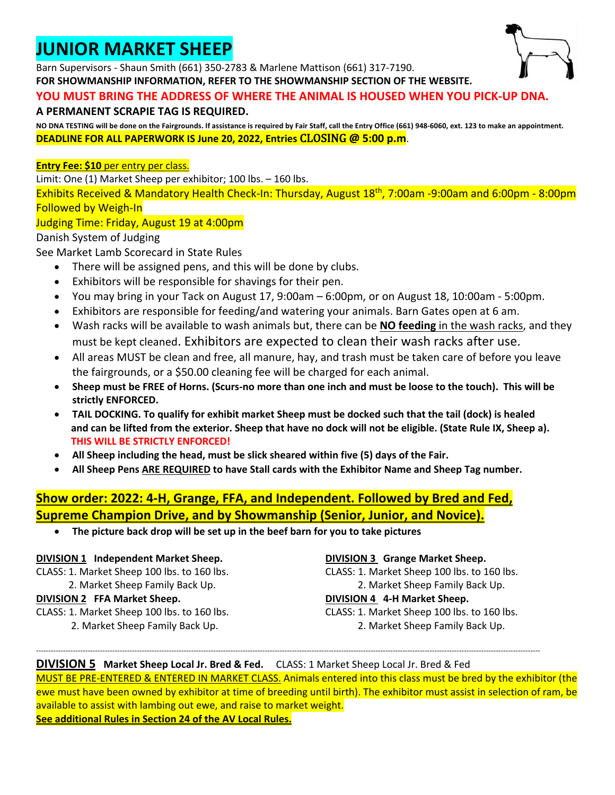### **JUNIOR MARKET SHEEP**

Barn Supervisors - Shaun Smith (661) 350-2783 & Marlene Mattison (661) 317-7190.

**FOR SHOWMANSHIP INFORMATION, REFER TO THE SHOWMANSHIP SECTION OF THE WEBSITE.**

#### **YOU MUST BRING THE ADDRESS OF WHERE THE ANIMAL IS HOUSED WHEN YOU PICK-UP DNA.**

#### **A PERMANENT SCRAPIE TAG IS REQUIRED.**

**NO DNA TESTING will be done on the Fairgrounds. If assistance is required by Fair Staff, call the Entry Office (661) 948-6060, ext. 123 to make an appointment. DEADLINE FOR ALL PAPERWORK IS June 20, 2022, Entries** CLOSING @ **5:00 p.m**.

#### **Entry Fee: \$10** per entry per class.

Limit: One (1) Market Sheep per exhibitor; 100 lbs. – 160 lbs.

Exhibits Received & Mandatory Health Check-In: Thursday, August 18th, 7:00am -9:00am and 6:00pm - 8:00pm Followed by Weigh-In

#### Judging Time: Friday, August 19 at 4:00pm

#### Danish System of Judging

See Market Lamb Scorecard in State Rules

- There will be assigned pens, and this will be done by clubs.
- Exhibitors will be responsible for shavings for their pen.
- You may bring in your Tack on August 17, 9:00am 6:00pm, or on August 18, 10:00am 5:00pm.
- Exhibitors are responsible for feeding/and watering your animals. Barn Gates open at 6 am.
- Wash racks will be available to wash animals but, there can be **NO feeding** in the wash racks, and they must be kept cleaned. Exhibitors are expected to clean their wash racks after use.
- All areas MUST be clean and free, all manure, hay, and trash must be taken care of before you leave the fairgrounds, or a \$50.00 cleaning fee will be charged for each animal.
- **Sheep must be FREE of Horns. (Scurs-no more than one inch and must be loose to the touch). This will be strictly ENFORCED.**
- **TAIL DOCKING. To qualify for exhibit market Sheep must be docked such that the tail (dock) is healed and can be lifted from the exterior. Sheep that have no dock will not be eligible. (State Rule IX, Sheep a). THIS WILL BE STRICTLY ENFORCED!**
- **All Sheep including the head, must be slick sheared within five (5) days of the Fair.**
- **All Sheep Pens ARE REQUIRED to have Stall cards with the Exhibitor Name and Sheep Tag number.**

#### **Show order: 2022: 4-H, Grange, FFA, and Independent. Followed by Bred and Fed, Supreme Champion Drive, and by Showmanship (Senior, Junior, and Novice).**

• **The picture back drop will be set up in the beef barn for you to take pictures**

#### **DIVISION 1 Independent Market Sheep.**

CLASS: 1. Market Sheep 100 lbs. to 160 lbs.

2. Market Sheep Family Back Up.

#### **DIVISION 2 FFA Market Sheep.**

CLASS: 1. Market Sheep 100 lbs. to 160 lbs. 2. Market Sheep Family Back Up.

#### **DIVISION 3 Grange Market Sheep.**

CLASS: 1. Market Sheep 100 lbs. to 160 lbs. 2. Market Sheep Family Back Up. **DIVISION 4 4-H Market Sheep.** CLASS: 1. Market Sheep 100 lbs. to 160 lbs. 2. Market Sheep Family Back Up.

#### **DIVISION 5 Market Sheep Local Jr. Bred & Fed.** CLASS: 1 Market Sheep Local Jr. Bred & Fed

MUST BE PRE-ENTERED & ENTERED IN MARKET CLASS. Animals entered into this class must be bred by the exhibitor (the ewe must have been owned by exhibitor at time of breeding until birth). The exhibitor must assist in selection of ram, be available to assist with lambing out ewe, and raise to market weight.

-------------------------------------------------------------------------------------------------------------------------------------------------------------------------------------------------------------

**See additional Rules in Section 24 of the AV Local Rules.**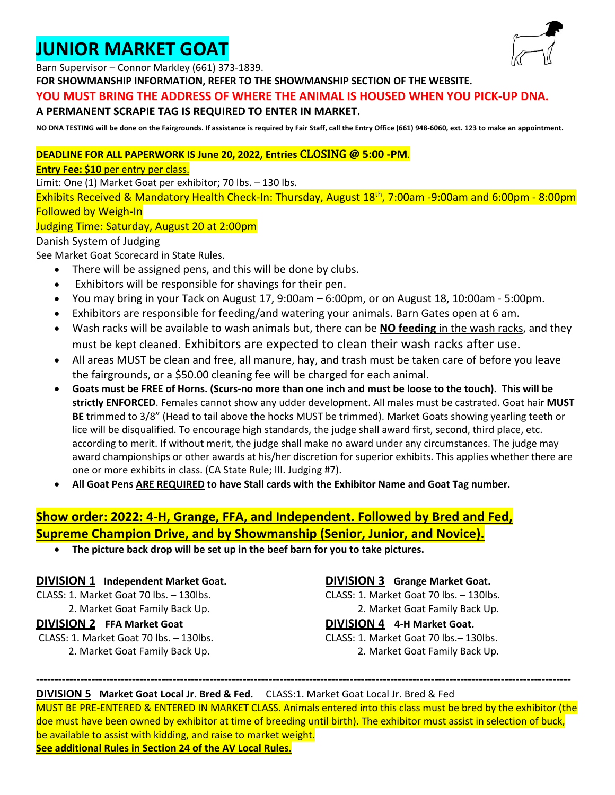### **JUNIOR MARKET GOAT**



Barn Supervisor – Connor Markley (661) 373-1839.

**FOR SHOWMANSHIP INFORMATION, REFER TO THE SHOWMANSHIP SECTION OF THE WEBSITE.**

#### **YOU MUST BRING THE ADDRESS OF WHERE THE ANIMAL IS HOUSED WHEN YOU PICK-UP DNA.**

#### **A PERMANENT SCRAPIE TAG IS REQUIRED TO ENTER IN MARKET.**

**NO DNA TESTING will be done on the Fairgrounds. If assistance is required by Fair Staff, call the Entry Office (661) 948-6060, ext. 123 to make an appointment.**

#### **DEADLINE FOR ALL PAPERWORK IS June 20, 2022, Entries** CLOSING @ **5:00 -PM**.

#### **Entry Fee: \$10** per entry per class.

Limit: One (1) Market Goat per exhibitor; 70 lbs. – 130 lbs.

Exhibits Received & Mandatory Health Check-In: Thursday, August 18th, 7:00am -9:00am and 6:00pm - 8:00pm Followed by Weigh-In

#### Judging Time: Saturday, August 20 at 2:00pm

#### Danish System of Judging

See Market Goat Scorecard in State Rules.

- There will be assigned pens, and this will be done by clubs.
- Exhibitors will be responsible for shavings for their pen.
- You may bring in your Tack on August 17, 9:00am 6:00pm, or on August 18, 10:00am 5:00pm.
- Exhibitors are responsible for feeding/and watering your animals. Barn Gates open at 6 am.
- Wash racks will be available to wash animals but, there can be **NO feeding** in the wash racks, and they must be kept cleaned. Exhibitors are expected to clean their wash racks after use.
- All areas MUST be clean and free, all manure, hay, and trash must be taken care of before you leave the fairgrounds, or a \$50.00 cleaning fee will be charged for each animal.
- **Goats must be FREE of Horns. (Scurs-no more than one inch and must be loose to the touch). This will be strictly ENFORCED**. Females cannot show any udder development. All males must be castrated. Goat hair **MUST BE** trimmed to 3/8" (Head to tail above the hocks MUST be trimmed). Market Goats showing yearling teeth or lice will be disqualified. To encourage high standards, the judge shall award first, second, third place, etc. according to merit. If without merit, the judge shall make no award under any circumstances. The judge may award championships or other awards at his/her discretion for superior exhibits. This applies whether there are one or more exhibits in class. (CA State Rule; III. Judging #7).
- **All Goat Pens ARE REQUIRED to have Stall cards with the Exhibitor Name and Goat Tag number.**

#### **Show order: 2022: 4-H, Grange, FFA, and Independent. Followed by Bred and Fed, Supreme Champion Drive, and by Showmanship (Senior, Junior, and Novice).**

• **The picture back drop will be set up in the beef barn for you to take pictures.**

#### **DIVISION 1 Independent Market Goat.**

CLASS: 1. Market Goat 70 lbs. – 130lbs. 2. Market Goat Family Back Up.

#### **DIVISION 2 FFA Market Goat**

CLASS: 1. Market Goat 70 lbs. – 130lbs. 2. Market Goat Family Back Up.

**DIVISION 3 Grange Market Goat.** CLASS: 1. Market Goat 70 lbs. – 130lbs. 2. Market Goat Family Back Up.

#### **DIVISION 4 4-H Market Goat.** CLASS: 1. Market Goat 70 lbs.– 130lbs.

2. Market Goat Family Back Up.

#### **DIVISION 5 Market Goat Local Jr. Bred & Fed.** CLASS:1. Market Goat Local Jr. Bred & Fed

MUST BE PRE-ENTERED & ENTERED IN MARKET CLASS. Animals entered into this class must be bred by the exhibitor (the doe must have been owned by exhibitor at time of breeding until birth). The exhibitor must assist in selection of buck, be available to assist with kidding, and raise to market weight. **See additional Rules in Section 24 of the AV Local Rules.**

**-------------------------------------------------------------------------------------------------------------------------------------------------**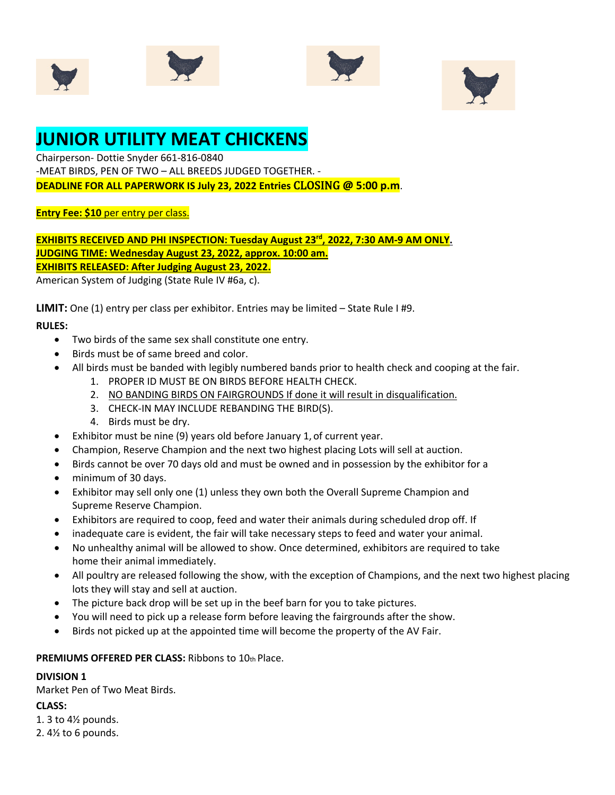







### **JUNIOR UTILITY MEAT CHICKENS**

Chairperson- Dottie Snyder 661-816-0840 -MEAT BIRDS, PEN OF TWO – ALL BREEDS JUDGED TOGETHER. - **DEADLINE FOR ALL PAPERWORK IS July 23, 2022 Entries** CLOSING @ **5:00 p.m**.

**Entry Fee: \$10** per entry per class.

**EXHIBITS RECEIVED AND PHI INSPECTION: Tuesday August 23rd, 2022, 7:30 AM-9 AM ONLY. JUDGING TIME: Wednesday August 23, 2022, approx. 10:00 am. EXHIBITS RELEASED: After Judging August 23, 2022.** 

American System of Judging (State Rule IV #6a, c).

**LIMIT:** One (1) entry per class per exhibitor. Entries may be limited – State Rule I #9.

#### **RULES:**

- Two birds of the same sex shall constitute one entry.
- Birds must be of same breed and color.
- All birds must be banded with legibly numbered bands prior to health check and cooping at the fair.
	- 1. PROPER ID MUST BE ON BIRDS BEFORE HEALTH CHECK.
	- 2. NO BANDING BIRDS ON FAIRGROUNDS If done it will result in disqualification.
	- 3. CHECK-IN MAY INCLUDE REBANDING THE BIRD(S).
	- 4. Birds must be dry.
- Exhibitor must be nine (9) years old before January 1, of current year.
- Champion, Reserve Champion and the next two highest placing Lots will sell at auction.
- Birds cannot be over 70 days old and must be owned and in possession by the exhibitor for a
- minimum of 30 days.
- Exhibitor may sell only one (1) unless they own both the Overall Supreme Champion and Supreme Reserve Champion.
- Exhibitors are required to coop, feed and water their animals during scheduled drop off. If
- inadequate care is evident, the fair will take necessary steps to feed and water your animal.
- No unhealthy animal will be allowed to show. Once determined, exhibitors are required to take home their animal immediately.
- All poultry are released following the show, with the exception of Champions, and the next two highest placing lots they will stay and sell at auction.
- The picture back drop will be set up in the beef barn for you to take pictures.
- You will need to pick up a release form before leaving the fairgrounds after the show.
- Birds not picked up at the appointed time will become the property of the AV Fair.

**PREMIUMS OFFERED PER CLASS:** Ribbons to 10th Place.

#### **DIVISION 1**

Market Pen of Two Meat Birds.

#### **CLASS:**

- 1. 3 to 4½ pounds.
- 2. 4½ to 6 pounds.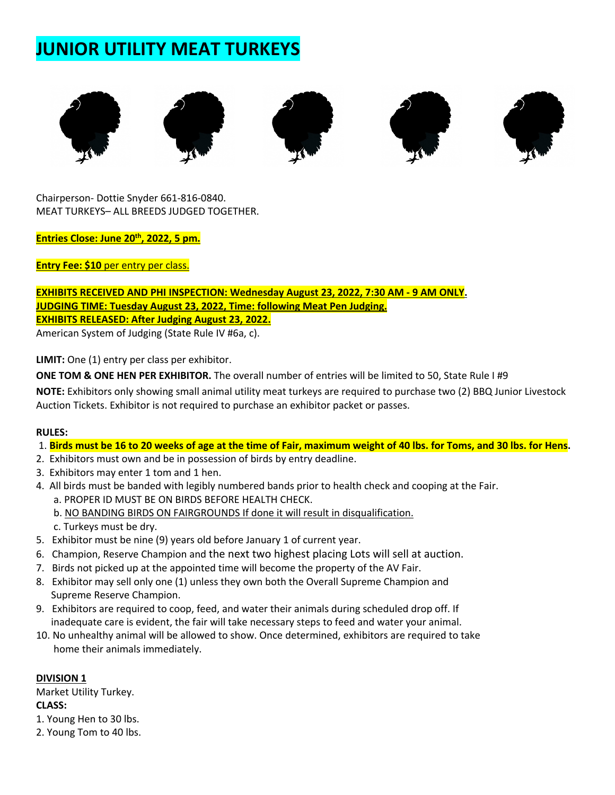### **JUNIOR UTILITY MEAT TURKEYS**



Chairperson- Dottie Snyder 661-816-0840. MEAT TURKEYS– ALL BREEDS JUDGED TOGETHER.

**Entries Close: June 20<sup>th</sup>, 2022, 5 pm.** 

**Entry Fee: \$10** per entry per class.

**EXHIBITS RECEIVED AND PHI INSPECTION: Wednesday August 23, 2022, 7:30 AM - 9 AM ONLY. JUDGING TIME: Tuesday August 23, 2022, Time: following Meat Pen Judging. EXHIBITS RELEASED: After Judging August 23, 2022.**

American System of Judging (State Rule IV #6a, c).

**LIMIT:** One (1) entry per class per exhibitor.

**ONE TOM & ONE HEN PER EXHIBITOR.** The overall number of entries will be limited to 50, State Rule I #9

**NOTE:** Exhibitors only showing small animal utility meat turkeys are required to purchase two (2) BBQ Junior Livestock Auction Tickets. Exhibitor is not required to purchase an exhibitor packet or passes.

#### **RULES:**

#### 1. **Birds must be 16 to 20 weeks of age at the time of Fair, maximum weight of 40 lbs. for Toms, and 30 lbs. for Hens.**

- 2. Exhibitors must own and be in possession of birds by entry deadline.
- 3. Exhibitors may enter 1 tom and 1 hen.
- 4. All birds must be banded with legibly numbered bands prior to health check and cooping at the Fair.
	- a. PROPER ID MUST BE ON BIRDS BEFORE HEALTH CHECK.
	- b. NO BANDING BIRDS ON FAIRGROUNDS If done it will result in disqualification.
	- c. Turkeys must be dry.
- 5. Exhibitor must be nine (9) years old before January 1 of current year.
- 6. Champion, Reserve Champion and the next two highest placing Lots will sell at auction.
- 7. Birds not picked up at the appointed time will become the property of the AV Fair.
- 8. Exhibitor may sell only one (1) unless they own both the Overall Supreme Champion and Supreme Reserve Champion.
- 9. Exhibitors are required to coop, feed, and water their animals during scheduled drop off. If inadequate care is evident, the fair will take necessary steps to feed and water your animal.
- 10. No unhealthy animal will be allowed to show. Once determined, exhibitors are required to take home their animals immediately.

#### **DIVISION 1**

Market Utility Turkey. **CLASS:**

- 1. Young Hen to 30 lbs.
- 2. Young Tom to 40 lbs.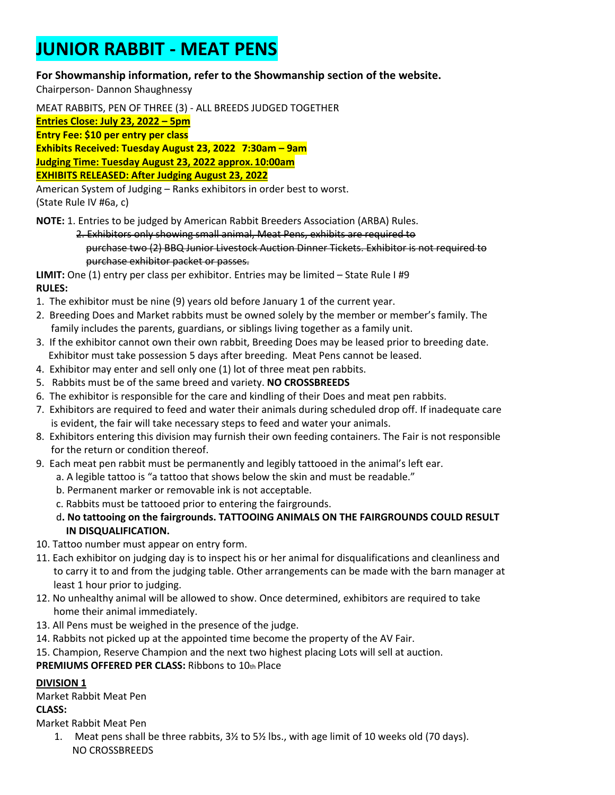### **JUNIOR RABBIT - MEAT PENS**

#### **For Showmanship information, refer to the Showmanship section of the website.**

Chairperson- Dannon Shaughnessy

MEAT RABBITS, PEN OF THREE (3) - ALL BREEDS JUDGED TOGETHER

**Entries Close: July 23, 2022 – 5pm**

**Entry Fee: \$10 per entry per class**

**Exhibits Received: Tuesday August 23, 2022 7:30am – 9am**

**Judging Time: Tuesday August 23, 2022 approx. 10:00am**

**EXHIBITS RELEASED: After Judging August 23, 2022**

American System of Judging – Ranks exhibitors in order best to worst. (State Rule IV #6a, c)

**NOTE:** 1. Entries to be judged by American Rabbit Breeders Association (ARBA) Rules.

 2. Exhibitors only showing small animal, Meat Pens, exhibits are required to purchase two (2) BBQ Junior Livestock Auction Dinner Tickets. Exhibitor is not required to purchase exhibitor packet or passes.

**LIMIT:** One (1) entry per class per exhibitor. Entries may be limited – State Rule I #9 **RULES:**

- 1. The exhibitor must be nine (9) years old before January 1 of the current year.
- 2. Breeding Does and Market rabbits must be owned solely by the member or member's family. The family includes the parents, guardians, or siblings living together as a family unit.
- 3. If the exhibitor cannot own their own rabbit, Breeding Does may be leased prior to breeding date. Exhibitor must take possession 5 days after breeding. Meat Pens cannot be leased.
- 4. Exhibitor may enter and sell only one (1) lot of three meat pen rabbits.
- 5. Rabbits must be of the same breed and variety. **NO CROSSBREEDS**
- 6. The exhibitor is responsible for the care and kindling of their Does and meat pen rabbits.
- 7. Exhibitors are required to feed and water their animals during scheduled drop off. If inadequate care is evident, the fair will take necessary steps to feed and water your animals.
- 8. Exhibitors entering this division may furnish their own feeding containers. The Fair is not responsible for the return or condition thereof.
- 9. Each meat pen rabbit must be permanently and legibly tattooed in the animal's left ear.
	- a. A legible tattoo is "a tattoo that shows below the skin and must be readable."
		- b. Permanent marker or removable ink is not acceptable.
		- c. Rabbits must be tattooed prior to entering the fairgrounds.
		- d**. No tattooing on the fairgrounds. TATTOOING ANIMALS ON THE FAIRGROUNDS COULD RESULT IN DISQUALIFICATION.**
- 10. Tattoo number must appear on entry form.
- 11. Each exhibitor on judging day is to inspect his or her animal for disqualifications and cleanliness and to carry it to and from the judging table. Other arrangements can be made with the barn manager at least 1 hour prior to judging.
- 12. No unhealthy animal will be allowed to show. Once determined, exhibitors are required to take home their animal immediately.
- 13. All Pens must be weighed in the presence of the judge.
- 14. Rabbits not picked up at the appointed time become the property of the AV Fair.
- 15. Champion, Reserve Champion and the next two highest placing Lots will sell at auction.

**PREMIUMS OFFERED PER CLASS:** Ribbons to 10th Place

#### **DIVISION 1**

Market Rabbit Meat Pen

#### **CLASS:**

Market Rabbit Meat Pen

1. Meat pens shall be three rabbits, 3½ to 5½ lbs., with age limit of 10 weeks old (70 days). NO CROSSBREEDS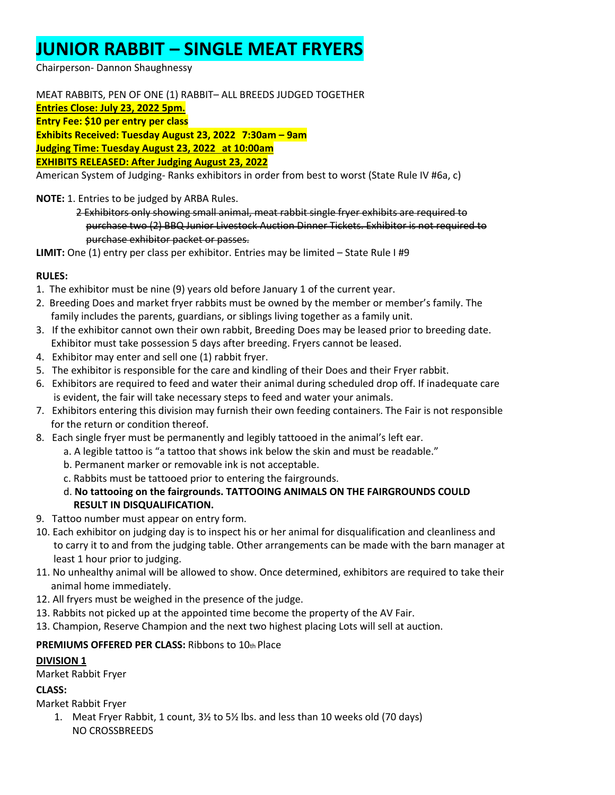### **JUNIOR RABBIT – SINGLE MEAT FRYERS**

Chairperson- Dannon Shaughnessy

MEAT RABBITS, PEN OF ONE (1) RABBIT– ALL BREEDS JUDGED TOGETHER **Entries Close: July 23, 2022 5pm. Entry Fee: \$10 per entry per class Exhibits Received: Tuesday August 23, 2022 7:30am – 9am Judging Time: Tuesday August 23, 2022 at 10:00am EXHIBITS RELEASED: After Judging August 23, 2022** American System of Judging- Ranks exhibitors in order from best to worst (State Rule IV #6a, c)

**NOTE:** 1. Entries to be judged by ARBA Rules.

 2 Exhibitors only showing small animal, meat rabbit single fryer exhibits are required to purchase two (2) BBQ Junior Livestock Auction Dinner Tickets. Exhibitor is not required to purchase exhibitor packet or passes.

**LIMIT:** One (1) entry per class per exhibitor. Entries may be limited – State Rule I #9

#### **RULES:**

- 1. The exhibitor must be nine (9) years old before January 1 of the current year.
- 2. Breeding Does and market fryer rabbits must be owned by the member or member's family. The family includes the parents, guardians, or siblings living together as a family unit.
- 3. If the exhibitor cannot own their own rabbit, Breeding Does may be leased prior to breeding date. Exhibitor must take possession 5 days after breeding. Fryers cannot be leased.
- 4. Exhibitor may enter and sell one (1) rabbit fryer.
- 5. The exhibitor is responsible for the care and kindling of their Does and their Fryer rabbit.
- 6. Exhibitors are required to feed and water their animal during scheduled drop off. If inadequate care is evident, the fair will take necessary steps to feed and water your animals.
- 7. Exhibitors entering this division may furnish their own feeding containers. The Fair is not responsible for the return or condition thereof.
- 8. Each single fryer must be permanently and legibly tattooed in the animal's left ear.
	- a. A legible tattoo is "a tattoo that shows ink below the skin and must be readable."
	- b. Permanent marker or removable ink is not acceptable.
	- c. Rabbits must be tattooed prior to entering the fairgrounds.
	- d. **No tattooing on the fairgrounds. TATTOOING ANIMALS ON THE FAIRGROUNDS COULD RESULT IN DISQUALIFICATION.**
- 9.Tattoo number must appear on entry form.
- 10. Each exhibitor on judging day is to inspect his or her animal for disqualification and cleanliness and to carry it to and from the judging table. Other arrangements can be made with the barn manager at least 1 hour prior to judging.
- 11. No unhealthy animal will be allowed to show. Once determined, exhibitors are required to take their animal home immediately.
- 12. All fryers must be weighed in the presence of the judge.
- 13. Rabbits not picked up at the appointed time become the property of the AV Fair.
- 13. Champion, Reserve Champion and the next two highest placing Lots will sell at auction.

#### **PREMIUMS OFFERED PER CLASS:** Ribbons to 10th Place

#### **DIVISION 1**

Market Rabbit Fryer

#### **CLASS:**

Market Rabbit Fryer

1. Meat Fryer Rabbit, 1 count, 3½ to 5½ lbs. and less than 10 weeks old (70 days) NO CROSSBREEDS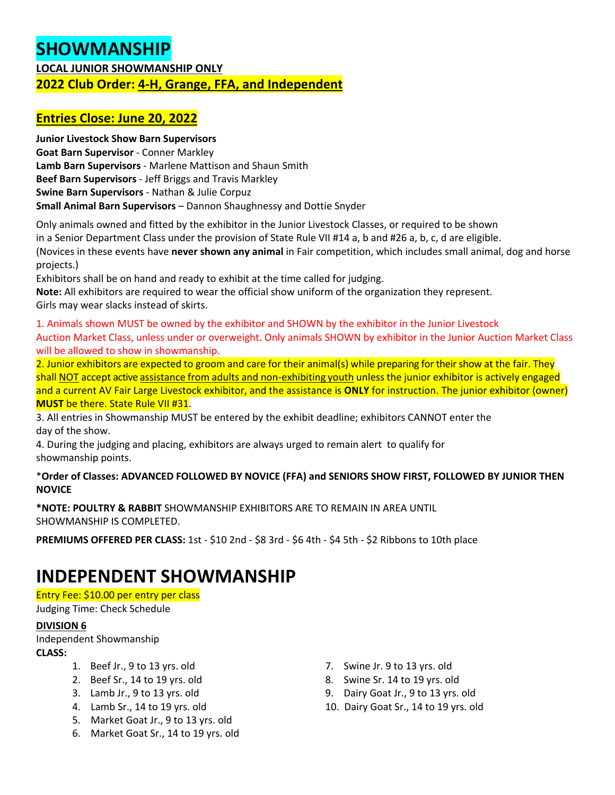### **SHOWMANSHIP**

#### **LOCAL JUNIOR SHOWMANSHIP ONLY 2022 Club Order: 4-H, Grange, FFA, and Independent**

#### **Entries Close: June 20, 2022**

**Junior Livestock Show Barn Supervisors Goat Barn Supervisor** - Conner Markley **Lamb Barn Supervisors** - Marlene Mattison and Shaun Smith **Beef Barn Supervisors** - Jeff Briggs and Travis Markley **Swine Barn Supervisors** - Nathan & Julie Corpuz **Small Animal Barn Supervisors** – Dannon Shaughnessy and Dottie Snyder

Only animals owned and fitted by the exhibitor in the Junior Livestock Classes, or required to be shown in a Senior Department Class under the provision of State Rule VII #14 a, b and #26 a, b, c, d are eligible. (Novices in these events have **never shown any animal** in Fair competition, which includes small animal, dog and horse projects.)

Exhibitors shall be on hand and ready to exhibit at the time called for judging. **Note:** All exhibitors are required to wear the official show uniform of the organization they represent. Girls may wear slacks instead of skirts.

1. Animals shown MUST be owned by the exhibitor and SHOWN by the exhibitor in the Junior Livestock Auction Market Class, unless under or overweight. Only animals SHOWN by exhibitor in the Junior Auction Market Class will be allowed to show in showmanship.

2. Junior exhibitors are expected to groom and care for their animal(s) while preparing for their show at the fair. They shall NOT accept active assistance from adults and non-exhibiting youth unless the junior exhibitor is actively engaged and a current AV Fair Large Livestock exhibitor, and the assistance is **ONLY** for instruction. The junior exhibitor (owner) **MUST** be there. State Rule VII #31.

3. All entries in Showmanship MUST be entered by the exhibit deadline; exhibitors CANNOT enter the day of the show.

4. During the judging and placing, exhibitors are always urged to remain alert to qualify for showmanship points.

#### \***Order of Classes: ADVANCED FOLLOWED BY NOVICE (FFA) and SENIORS SHOW FIRST, FOLLOWED BY JUNIOR THEN NOVICE**

**\*NOTE: POULTRY & RABBIT** SHOWMANSHIP EXHIBITORS ARE TO REMAIN IN AREA UNTIL SHOWMANSHIP IS COMPLETED.

**PREMIUMS OFFERED PER CLASS:** 1st - \$10 2nd - \$8 3rd - \$6 4th - \$4 5th - \$2 Ribbons to 10th place

### **INDEPENDENT SHOWMANSHIP**

Entry Fee: \$10.00 per entry per class

Judging Time: Check Schedule

#### **DIVISION 6**

Independent Showmanship **CLASS:**

- 1. Beef Jr., 9 to 13 yrs. old
- 2. Beef Sr., 14 to 19 yrs. old
- 3. Lamb Jr., 9 to 13 yrs. old
- 4. Lamb Sr., 14 to 19 yrs. old
- 5. Market Goat Jr., 9 to 13 yrs. old
- 6. Market Goat Sr., 14 to 19 yrs. old
- 7. Swine Jr. 9 to 13 yrs. old
- 8. Swine Sr. 14 to 19 yrs. old
- 9. Dairy Goat Jr., 9 to 13 yrs. old
- 10. Dairy Goat Sr., 14 to 19 yrs. old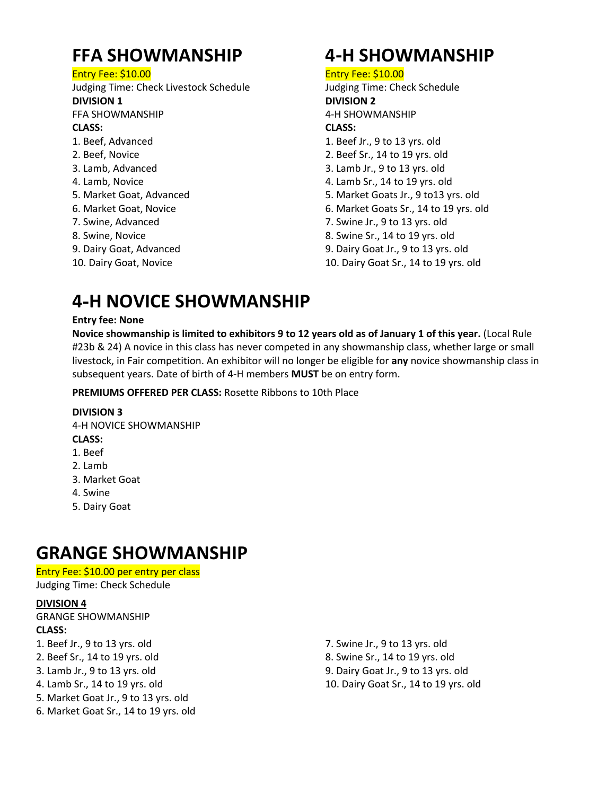### **FFA SHOWMANSHIP**

Entry Fee: \$10.00

Judging Time: Check Livestock Schedule **DIVISION 1** FFA SHOWMANSHIP

#### **CLASS:**

- 1. Beef, Advanced
- 2. Beef, Novice
- 3. Lamb, Advanced
- 4. Lamb, Novice
- 5. Market Goat, Advanced
- 6. Market Goat, Novice
- 7. Swine, Advanced
- 8. Swine, Novice
- 9. Dairy Goat, Advanced
- 10. Dairy Goat, Novice

### **4**-**H SHOWMANSHIP**

#### Entry Fee: \$10.00

- Judging Time: Check Schedule **DIVISION 2**
- 4-H SHOWMANSHIP

#### **CLASS:**

- 1. Beef Jr., 9 to 13 yrs. old
- 2. Beef Sr., 14 to 19 yrs. old
- 3. Lamb Jr., 9 to 13 yrs. old
- 4. Lamb Sr., 14 to 19 yrs. old
- 5. Market Goats Jr., 9 to13 yrs. old
- 6. Market Goats Sr., 14 to 19 yrs. old
- 7. Swine Jr., 9 to 13 yrs. old
- 8. Swine Sr., 14 to 19 yrs. old
- 9. Dairy Goat Jr., 9 to 13 yrs. old
- 10. Dairy Goat Sr., 14 to 19 yrs. old

### **4**-**H NOVICE SHOWMANSHIP**

#### **Entry fee: None**

**Novice showmanship is limited to exhibitors 9 to 12 years old as of January 1 of this year.** (Local Rule #23b & 24) A novice in this class has never competed in any showmanship class, whether large or small livestock, in Fair competition. An exhibitor will no longer be eligible for **any** novice showmanship class in subsequent years. Date of birth of 4-H members **MUST** be on entry form.

**PREMIUMS OFFERED PER CLASS:** Rosette Ribbons to 10th Place

#### **DIVISION 3**

4-H NOVICE SHOWMANSHIP

#### **CLASS:**

- 1. Beef
- 2. Lamb
- 3. Market Goat
- 4. Swine
- 5. Dairy Goat

### **GRANGE SHOWMANSHIP**

#### Entry Fee: \$10.00 per entry per class

Judging Time: Check Schedule

#### **DIVISION 4**

GRANGE SHOWMANSHIP

#### **CLASS:**

- 1. Beef Jr., 9 to 13 yrs. old
- 2. Beef Sr., 14 to 19 yrs. old
- 3. Lamb Jr., 9 to 13 yrs. old
- 4. Lamb Sr., 14 to 19 yrs. old
- 5. Market Goat Jr., 9 to 13 yrs. old
- 6. Market Goat Sr., 14 to 19 yrs. old

7. Swine Jr., 9 to 13 yrs. old 8. Swine Sr., 14 to 19 yrs. old 9. Dairy Goat Jr., 9 to 13 yrs. old 10. Dairy Goat Sr., 14 to 19 yrs. old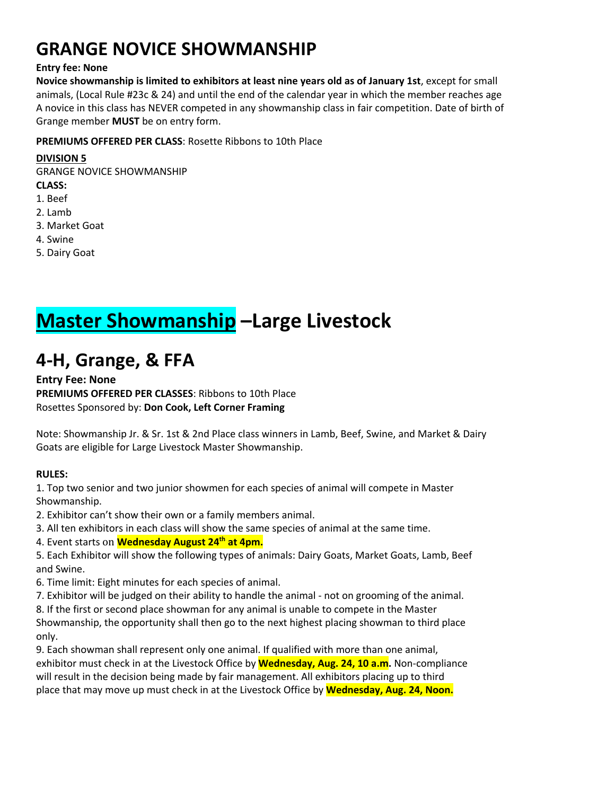### **GRANGE NOVICE SHOWMANSHIP**

#### **Entry fee: None**

**Novice showmanship is limited to exhibitors at least nine years old as of January 1st**, except for small animals, (Local Rule #23c & 24) and until the end of the calendar year in which the member reaches age A novice in this class has NEVER competed in any showmanship class in fair competition. Date of birth of Grange member **MUST** be on entry form.

#### **PREMIUMS OFFERED PER CLASS**: Rosette Ribbons to 10th Place

#### **DIVISION 5**

GRANGE NOVICE SHOWMANSHIP **CLASS:** 1. Beef

- 2. Lamb
- 3. Market Goat
- 4. Swine
- 5. Dairy Goat

## **Master Showmanship –Large Livestock**

### **4**-**H, Grange, & FFA**

#### **Entry Fee: None PREMIUMS OFFERED PER CLASSES**: Ribbons to 10th Place Rosettes Sponsored by: **Don Cook, Left Corner Framing**

Note: Showmanship Jr. & Sr. 1st & 2nd Place class winners in Lamb, Beef, Swine, and Market & Dairy Goats are eligible for Large Livestock Master Showmanship.

#### **RULES:**

1. Top two senior and two junior showmen for each species of animal will compete in Master Showmanship.

2. Exhibitor can't show their own or a family members animal.

3. All ten exhibitors in each class will show the same species of animal at the same time.

4. Event starts on **Wednesday August 24th at 4pm.**

5. Each Exhibitor will show the following types of animals: Dairy Goats, Market Goats, Lamb, Beef and Swine.

6. Time limit: Eight minutes for each species of animal.

7. Exhibitor will be judged on their ability to handle the animal - not on grooming of the animal.

8. If the first or second place showman for any animal is unable to compete in the Master

Showmanship, the opportunity shall then go to the next highest placing showman to third place only.

9. Each showman shall represent only one animal. If qualified with more than one animal, exhibitor must check in at the Livestock Office by **Wednesday, Aug. 24, 10 a.m.** Non-compliance will result in the decision being made by fair management. All exhibitors placing up to third place that may move up must check in at the Livestock Office by **Wednesday, Aug. 24, Noon.**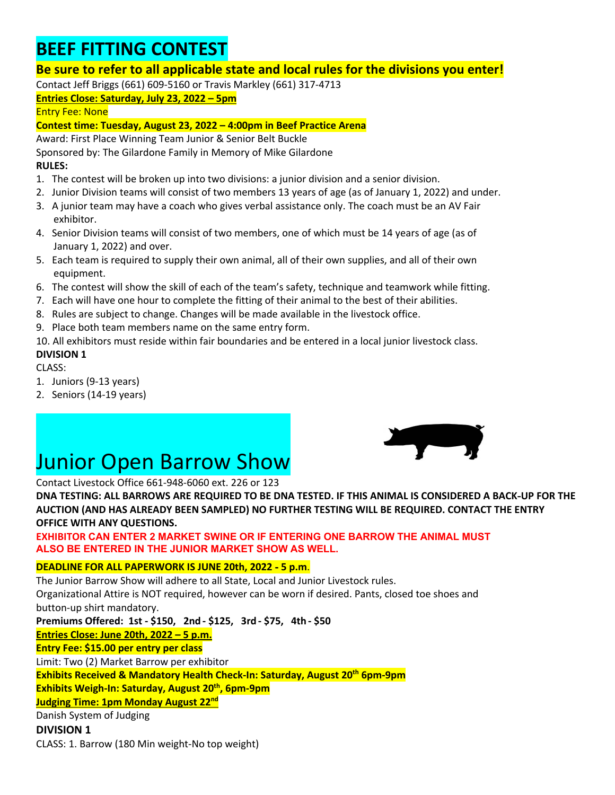### **BEEF FITTING CONTEST**

#### **Be sure to refer to all applicable state and local rules for the divisions you enter!**

Contact Jeff Briggs (661) 609-5160 or Travis Markley (661) 317-4713

#### **Entries Close: Saturday, July 23, 2022 – 5pm**

Entry Fee: None

#### **Contest time: Tuesday, August 23, 2022 – 4:00pm in Beef Practice Arena**

Award: First Place Winning Team Junior & Senior Belt Buckle

Sponsored by: The Gilardone Family in Memory of Mike Gilardone

#### **RULES:**

- 1. The contest will be broken up into two divisions: a junior division and a senior division.
- 2. Junior Division teams will consist of two members 13 years of age (as of January 1, 2022) and under.
- 3. A junior team may have a coach who gives verbal assistance only. The coach must be an AV Fair exhibitor.
- 4. Senior Division teams will consist of two members, one of which must be 14 years of age (as of January 1, 2022) and over.
- 5. Each team is required to supply their own animal, all of their own supplies, and all of their own equipment.
- 6. The contest will show the skill of each of the team's safety, technique and teamwork while fitting.
- 7. Each will have one hour to complete the fitting of their animal to the best of their abilities.
- 8. Rules are subject to change. Changes will be made available in the livestock office.
- 9. Place both team members name on the same entry form.

10. All exhibitors must reside within fair boundaries and be entered in a local junior livestock class.

#### **DIVISION 1**

CLASS:

- 1. Juniors (9-13 years)
- 2. Seniors (14-19 years)

# **Junior Open Barrow Show**<br>Contact Livestock Office 661-948-6060 ext. 226 or 123



**DNA TESTING: ALL BARROWS ARE REQUIRED TO BE DNA TESTED. IF THIS ANIMAL IS CONSIDERED A BACK**-**UP FOR THE AUCTION (AND HAS ALREADY BEEN SAMPLED) NO FURTHER TESTING WILL BE REQUIRED. CONTACT THE ENTRY OFFICE WITH ANY QUESTIONS.**

**EXHIBITOR CAN ENTER 2 MARKET SWINE OR IF ENTERING ONE BARROW THE ANIMAL MUST ALSO BE ENTERED IN THE JUNIOR MARKET SHOW AS WELL.**

#### **DEADLINE FOR ALL PAPERWORK IS JUNE 20th, 2022** - **5 p.m**.

The Junior Barrow Show will adhere to all State, Local and Junior Livestock rules. Organizational Attire is NOT required, however can be worn if desired. Pants, closed toe shoes and button-up shirt mandatory. **Premiums Offered: 1st - \$150, 2nd - \$125, 3rd - \$75, 4th - \$50 Entries Close: June 20th, 2022 – 5 p.m. Entry Fee: \$15.00 per entry per class** Limit: Two (2) Market Barrow per exhibitor **Exhibits Received & Mandatory Health Check-In: Saturday, August 20th 6pm-9pm Exhibits Weigh-In: Saturday, August 20<sup>th</sup>, 6pm-9pm Judging Time: 1pm Monday August 22nd**  Danish System of Judging **DIVISION 1** 

CLASS: 1. Barrow (180 Min weight-No top weight)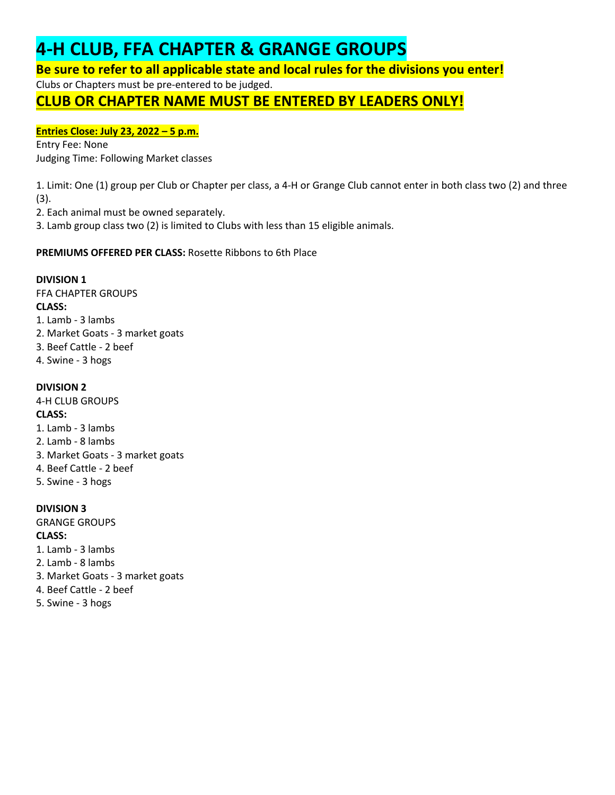### **4**-**H CLUB, FFA CHAPTER & GRANGE GROUPS**

**Be sure to refer to all applicable state and local rules for the divisions you enter!**

Clubs or Chapters must be pre-entered to be judged.

### **CLUB OR CHAPTER NAME MUST BE ENTERED BY LEADERS ONLY!**

#### **Entries Close: July 23, 2022 – 5 p.m.**

Entry Fee: None Judging Time: Following Market classes

1. Limit: One (1) group per Club or Chapter per class, a 4-H or Grange Club cannot enter in both class two (2) and three (3).

2. Each animal must be owned separately.

3. Lamb group class two (2) is limited to Clubs with less than 15 eligible animals.

**PREMIUMS OFFERED PER CLASS:** Rosette Ribbons to 6th Place

#### **DIVISION 1**

FFA CHAPTER GROUPS **CLASS:** 1. Lamb - 3 lambs 2. Market Goats - 3 market goats 3. Beef Cattle - 2 beef 4. Swine - 3 hogs

#### **DIVISION 2**

4-H CLUB GROUPS **CLASS:** 1. Lamb - 3 lambs 2. Lamb - 8 lambs 3. Market Goats - 3 market goats 4. Beef Cattle - 2 beef 5. Swine - 3 hogs

#### **DIVISION 3**

GRANGE GROUPS **CLASS:** 1. Lamb - 3 lambs

- 2. Lamb 8 lambs
- 3. Market Goats 3 market goats
- 4. Beef Cattle 2 beef
- 5. Swine 3 hogs